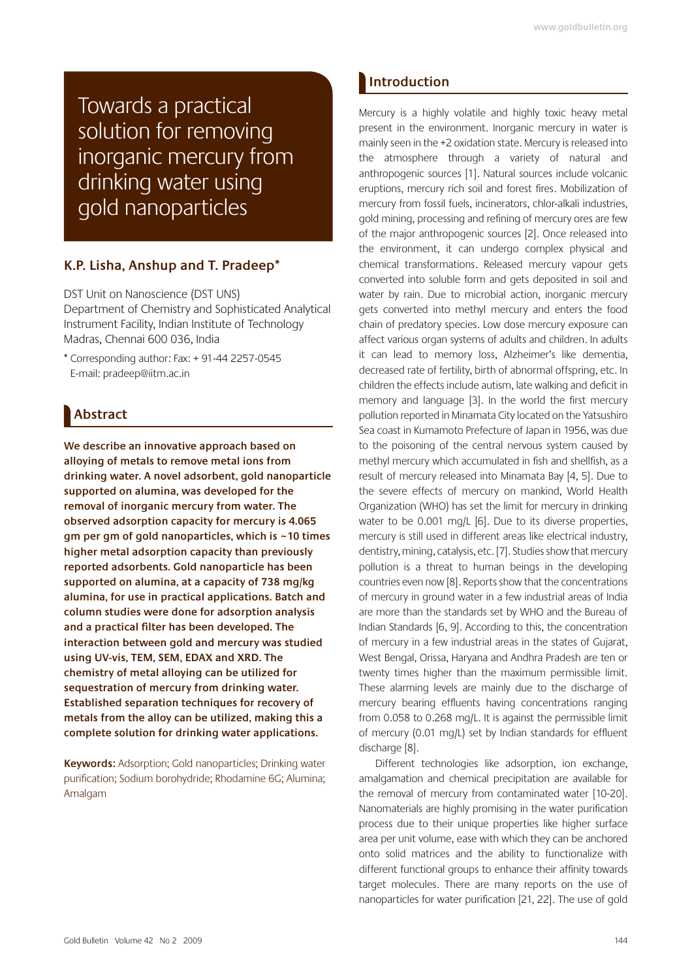Towards a practical solution for removing inorganic mercury from drinking water using gold nanoparticles

### K.P. Lisha, Anshup and T. Pradeep\*

DST Unit on Nanoscience (DST UNS) Department of Chemistry and Sophisticated Analytical Instrument Facility, Indian Institute of Technology Madras, Chennai 600 036, India

\* Corresponding author: Fax: + 91-44 2257-0545 E-mail: pradeep@iitm.ac.in

## **Abstract**

We describe an innovative approach based on alloving of metals to remove metal ions from drinking water. A novel adsorbent, gold nanoparticle supported on alumina, was developed for the removal of inorganic mercury from water. The observed adsorption capacity for mercury is 4.065 gm per gm of gold nanoparticles, which is ~10 times higher metal adsorption capacity than previously reported adsorbents. Gold nanoparticle has been supported on alumina, at a capacity of 738 mg/kg alumina, for use in practical applications. Batch and column studies were done for adsorption analysis and a practical filter has been developed. The interaction between gold and mercury was studied using UV-vis, TEM, SEM, EDAX and XRD. The chemistry of metal alloying can be utilized for sequestration of mercury from drinking water. Established separation techniques for recovery of metals from the alloy can be utilized, making this a complete solution for drinking water applications.

Keywords: Adsorption; Gold nanoparticles; Drinking water purification; Sodium borohydride; Rhodamine 6G; Alumina; Amalgam

## Introduction

Mercury is a highly volatile and highly toxic heavy metal present in the environment. Inorganic mercury in water is mainly seen in the +2 oxidation state. Mercury is released into the atmosphere through a variety of natural and anthropogenic sources [1]. Natural sources include volcanic eruptions, mercury rich soil and forest fires. Mobilization of mercury from fossil fuels, incinerators, chlor-alkali industries, gold mining, processing and refining of mercury ores are few of the major anthropogenic sources [2]. Once released into the environment, it can undergo complex physical and chemical transformations. Released mercury vapour gets converted into soluble form and gets deposited in soil and water by rain. Due to microbial action, inorganic mercury gets converted into methyl mercury and enters the food chain of predatory species. Low dose mercury exposure can affect various organ systems of adults and children. In adults it can lead to memory loss, Alzheimer's like dementia, decreased rate of fertility, birth of abnormal offspring, etc. In children the effects include autism, late walking and deficit in memory and language [3]. In the world the first mercury pollution reported in Minamata City located on the Yatsushiro Sea coast in Kumamoto Prefecture of Japan in 1956, was due to the poisoning of the central nervous system caused by methyl mercury which accumulated in fish and shellfish, as a result of mercury released into Minamata Bay [4, 5]. Due to the severe effects of mercury on mankind, World Health Organization (WHO) has set the limit for mercury in drinking water to be 0.001 mq/L [6]. Due to its diverse properties, mercury is still used in different areas like electrical industry, dentistry, mining, catalysis, etc. [7]. Studies show that mercury pollution is a threat to human beings in the developing countries even now [8]. Reports show that the concentrations of mercury in ground water in a few industrial areas of India are more than the standards set by WHO and the Bureau of Indian Standards [6, 9]. According to this, the concentration of mercury in a few industrial areas in the states of Gujarat, West Bengal, Orissa, Haryana and Andhra Pradesh are ten or twenty times higher than the maximum permissible limit. These alarming levels are mainly due to the discharge of mercury bearing effluents having concentrations ranging from 0.058 to 0.268 mq/L. It is against the permissible limit of mercury (0.01 mq/L) set by Indian standards for effluent discharge [8].

Different technologies like adsorption, ion exchange, amalgamation and chemical precipitation are available for the removal of mercury from contaminated water [10-20]. Nanomaterials are highly promising in the water purification process due to their unique properties like higher surface area per unit volume, ease with which they can be anchored onto solid matrices and the ability to functionalize with different functional groups to enhance their affinity towards target molecules. There are many reports on the use of nanoparticles for water purification [21, 22]. The use of gold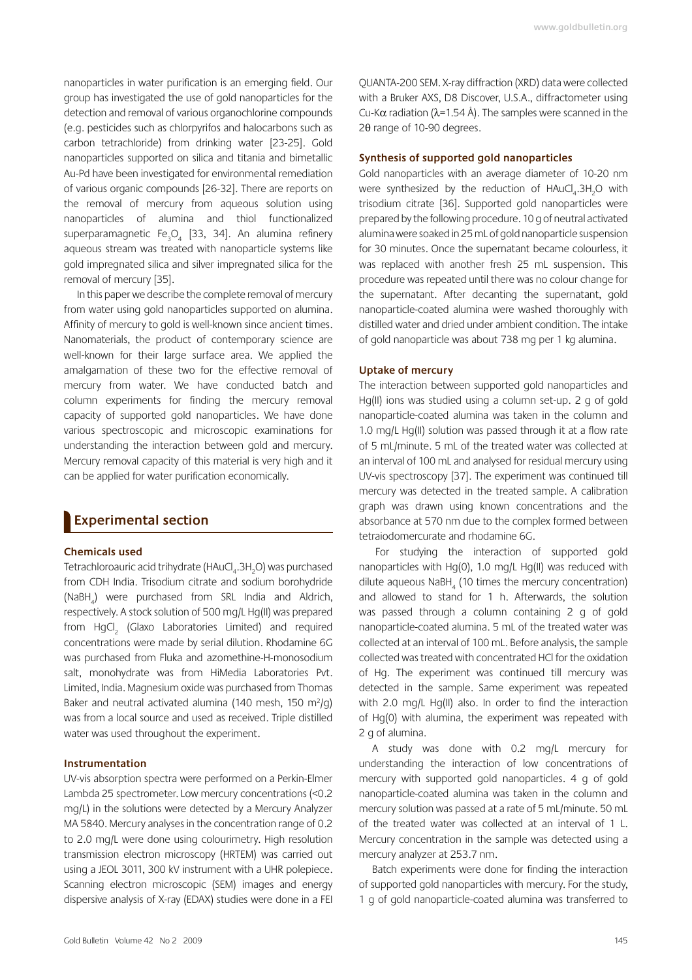nanoparticles in water purification is an emerging field. Our group has investigated the use of gold nanoparticles for the detection and removal of various organochlorine compounds (e.g. pesticides such as chlorpyrifos and halocarbons such as carbon tetrachloride) from drinking water [23-25]. Gold nanoparticles supported on silica and titania and bimetallic Au-Pd have been investigated for environmental remediation of various organic compounds [26-32]. There are reports on the removal of mercury from aqueous solution using nanoparticles of alumina and thiol functionalized superparamagnetic Fe<sub>3</sub>O<sub>4</sub> [33, 34]. An alumina refinery aqueous stream was treated with nanoparticle systems like gold impregnated silica and silver impregnated silica for the removal of mercury [35].

In this paper we describe the complete removal of mercury from water using gold nanoparticles supported on alumina. Affinity of mercury to gold is well-known since ancient times. Nanomaterials, the product of contemporary science are well-known for their large surface area. We applied the amalgamation of these two for the effective removal of mercury from water. We have conducted batch and column experiments for finding the mercury removal capacity of supported gold nanoparticles. We have done various spectroscopic and microscopic examinations for understanding the interaction between gold and mercury. Mercury removal capacity of this material is very high and it can be applied for water purification economically.

### **Experimental section**

### **Chemicals used**

Tetrachloroauric acid trihydrate (HAuCl<sub>a</sub>.3H<sub>2</sub>O) was purchased from CDH India. Trisodium citrate and sodium borohydride (NaBH<sub>a</sub>) were purchased from SRL India and Aldrich, respectively. A stock solution of 500 mg/L Hg(II) was prepared from HqCl<sub>3</sub> (Glaxo Laboratories Limited) and required concentrations were made by serial dilution. Rhodamine 6G was purchased from Fluka and azomethine-H-monosodium salt, monohydrate was from HiMedia Laboratories Pvt. Limited, India. Magnesium oxide was purchased from Thomas Baker and neutral activated alumina (140 mesh, 150 m<sup>2</sup>/g) was from a local source and used as received. Triple distilled water was used throughout the experiment.

### Instrumentation

UV-vis absorption spectra were performed on a Perkin-Elmer Lambda 25 spectrometer. Low mercury concentrations (<0.2 mq/L) in the solutions were detected by a Mercury Analyzer MA 5840. Mercury analyses in the concentration range of 0.2 to 2.0 mg/L were done using colourimetry. High resolution transmission electron microscopy (HRTEM) was carried out using a JEOL 3011, 300 kV instrument with a UHR polepiece. Scanning electron microscopic (SEM) images and energy dispersive analysis of X-ray (EDAX) studies were done in a FEI QUANTA-200 SEM. X-ray diffraction (XRD) data were collected with a Bruker AXS, D8 Discover, U.S.A., diffractometer using Cu-K $\alpha$  radiation ( $\lambda$ =1.54 Å). The samples were scanned in the  $2\theta$  range of 10-90 degrees.

### Synthesis of supported gold nanoparticles

Gold nanoparticles with an average diameter of 10-20 nm were synthesized by the reduction of HAuCl, 3H<sub>2</sub>O with trisodium citrate [36]. Supported gold nanoparticles were prepared by the following procedure. 10 g of neutral activated alumina were soaked in 25 mL of gold nanoparticle suspension for 30 minutes. Once the supernatant became colourless, it was replaced with another fresh 25 mL suspension. This procedure was repeated until there was no colour change for the supernatant. After decanting the supernatant, gold nanoparticle-coated alumina were washed thoroughly with distilled water and dried under ambient condition. The intake of gold nanoparticle was about 738 mg per 1 kg alumina.

### **Uptake of mercury**

The interaction between supported gold nanoparticles and Hg(II) ions was studied using a column set-up. 2 g of gold nanoparticle-coated alumina was taken in the column and 1.0 mg/L Hg(II) solution was passed through it at a flow rate of 5 mL/minute. 5 mL of the treated water was collected at an interval of 100 mL and analysed for residual mercury using UV-vis spectroscopy [37]. The experiment was continued till mercury was detected in the treated sample. A calibration graph was drawn using known concentrations and the absorbance at 570 nm due to the complex formed between tetraiodomercurate and rhodamine 6G.

For studying the interaction of supported gold nanoparticles with Hq(0), 1.0 mq/L Hq(II) was reduced with dilute aqueous NaBH, (10 times the mercury concentration) and allowed to stand for 1 h. Afterwards, the solution was passed through a column containing 2 g of gold nanoparticle-coated alumina. 5 mL of the treated water was collected at an interval of 100 mL. Before analysis, the sample collected was treated with concentrated HCI for the oxidation of Hg. The experiment was continued till mercury was detected in the sample. Same experiment was repeated with 2.0 mq/L Hq(II) also. In order to find the interaction of Hq(0) with alumina, the experiment was repeated with 2 g of alumina.

A study was done with 0.2 mg/L mercury for understanding the interaction of low concentrations of mercury with supported gold nanoparticles. 4 g of gold nanoparticle-coated alumina was taken in the column and mercury solution was passed at a rate of 5 mL/minute. 50 mL of the treated water was collected at an interval of 1 L. Mercury concentration in the sample was detected using a mercury analyzer at 253.7 nm.

Batch experiments were done for finding the interaction of supported gold nanoparticles with mercury. For the study, 1 g of gold nanoparticle-coated alumina was transferred to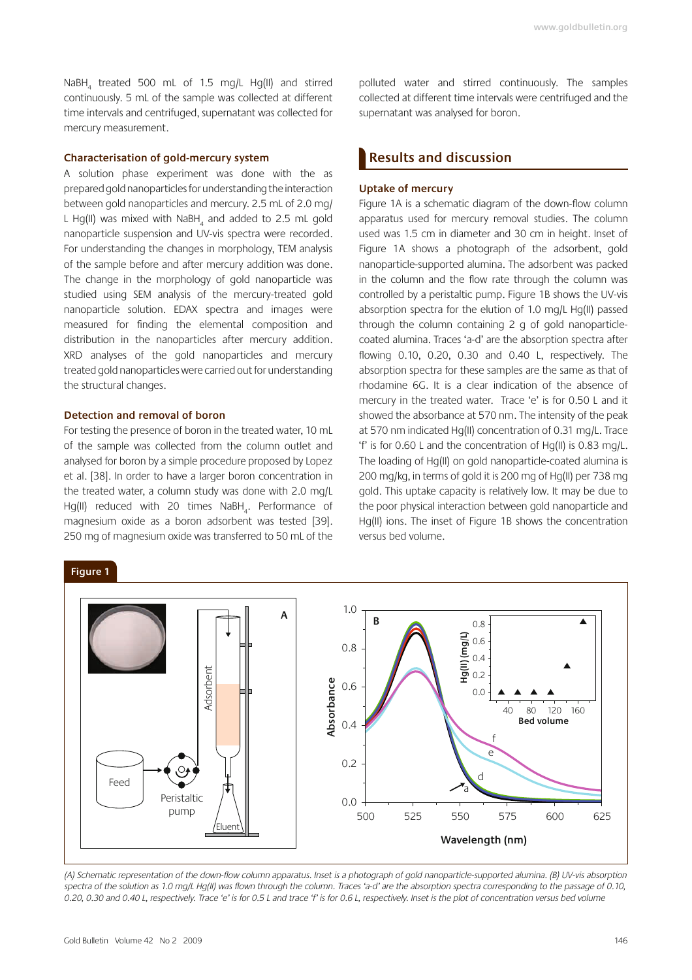www.goldbulletin.org

NaBH<sub>4</sub> treated 500 mL of 1.5 mg/L Hg(II) and stirred continuously. 5 mL of the sample was collected at different time intervals and centrifuged, supernatant was collected for mercury measurement.

### **Characterisation of gold-mercury system**

A solution phase experiment was done with the as prepared gold nanoparticles for understanding the interaction between gold nanoparticles and mercury. 2.5 mL of 2.0 mg/ L Hg(II) was mixed with NaBH<sub>4</sub> and added to 2.5 mL gold nanoparticle suspension and UV-vis spectra were recorded. For understanding the changes in morphology, TEM analysis of the sample before and after mercury addition was done. The change in the morphology of gold nanoparticle was studied using SEM analysis of the mercury-treated gold nanoparticle solution. EDAX spectra and images were measured for finding the elemental composition and distribution in the nanoparticles after mercury addition. XRD analyses of the gold nanoparticles and mercury treated gold nanoparticles were carried out for understanding the structural changes.

### **Detection and removal of boron**

For testing the presence of boron in the treated water, 10 mL of the sample was collected from the column outlet and analysed for boron by a simple procedure proposed by Lopez et al. [38]. In order to have a larger boron concentration in the treated water, a column study was done with 2.0 mg/L Hg(II) reduced with 20 times  $\textsf{NaBH}_4$ . Performance of magnesium oxide as a boron adsorbent was tested [39]. 250 mg of magnesium oxide was transferred to 50 mL of the

polluted water and stirred continuously. The samples collected at different time intervals were centrifuged and the supernatant was analysed for boron.

### **Results and discussion**

### **Uptake of mercury**

Figure 1A is a schematic diagram of the down-flow column apparatus used for mercury removal studies. The column used was 1.5 cm in diameter and 30 cm in height. Inset of Figure 1A shows a photograph of the adsorbent, gold nanoparticle-supported alumina. The adsorbent was packed in the column and the flow rate through the column was controlled by a peristaltic pump. Figure 1B shows the UV-vis absorption spectra for the elution of 1.0 mg/L Hg(II) passed through the column containing 2 g of gold nanoparticlecoated alumina. Traces 'a-d' are the absorption spectra after flowing  $0.10$ ,  $0.20$ ,  $0.30$  and  $0.40$  L, respectively. The absorption spectra for these samples are the same as that of rhodamine 6G. It is a clear indication of the absence of mercury in the treated water. Trace 'e' is for 0.50 L and it showed the absorbance at 570 nm. The intensity of the peak at 570 nm indicated Hq(II) concentration of 0.31 mq/L. Trace 'f' is for 0.60 L and the concentration of Hq(II) is 0.83 mq/L. The loading of Hq(II) on gold nanoparticle-coated alumina is 200 mg/kg, in terms of gold it is 200 mg of Hg(II) per 738 mg gold. This uptake capacity is relatively low. It may be due to the poor physical interaction between gold nanoparticle and Hq(II) ions. The inset of Figure 1B shows the concentration versus bed volume.



(A) Schematic representation of the down-flow column apparatus. Inset is a photograph of gold nanoparticle-supported alumina. (B) UV-vis absorption spectra of the solution as 1.0 mg/L Hg(II) was flown through the column. Traces 'a-d' are the absorption spectra corresponding to the passage of 0.10, 0.20, 0.30 and 0.40 L, respectively. Trace 'e' is for 0.5 L and trace 'f' is for 0.6 L, respectively. Inset is the plot of concentration versus bed volume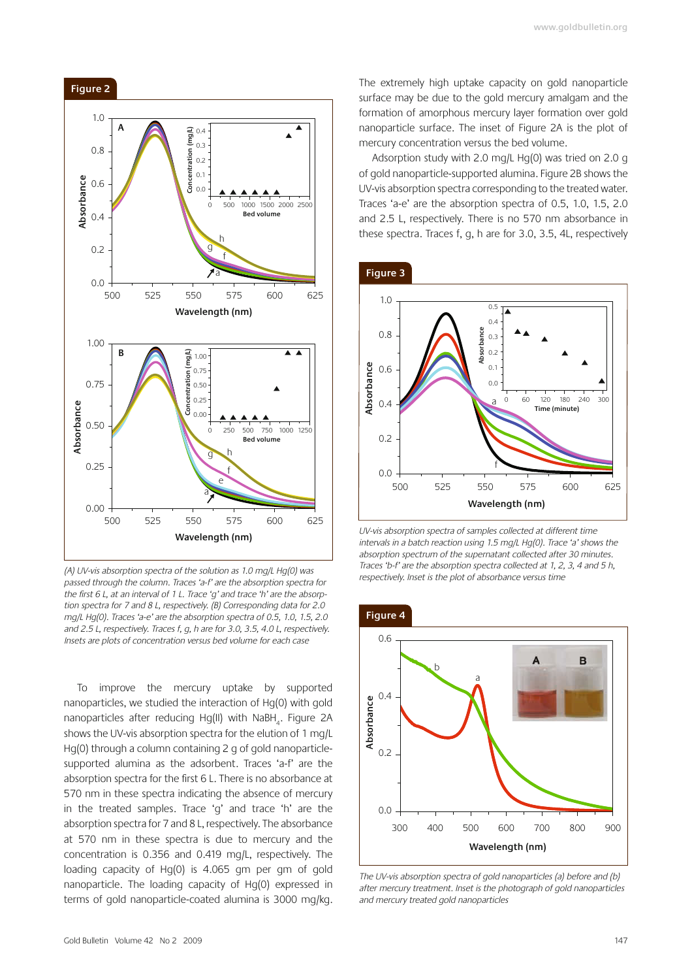

 $1.0$ 

 $0.8$ 

 $0.4$ 

 $0.2$ 

 $0<sub>0</sub>$ 

1.00

 $0.75$ 

 $0.50$ 

 $0.25$ 

 $0.00$ 

500

525

Absorbance

Absorbance  $0.6$ 

(A) UV-vis absorption spectra of the solution as 1.0 mg/L Hg(0) was passed through the column. Traces 'a-f' are the absorption spectra for the first 6 L, at an interval of 1 L. Trace 'g' and trace 'h' are the absorption spectra for 7 and 8 L, respectively. (B) Corresponding data for 2.0 mg/L Hg(0). Traces 'a-e' are the absorption spectra of 0.5, 1.0, 1.5, 2.0 and 2.5 L, respectively. Traces f, g, h are for 3.0, 3.5, 4.0 L, respectively. Insets are plots of concentration versus bed volume for each case

550

 $0.00$ 

 $250$  $500$ 

 $\theta$ 

Wavelength (nm)

575

750 1000 125

600

625

**Red volume** 

To improve the mercury uptake by supported nanoparticles, we studied the interaction of Hq(0) with gold nanoparticles after reducing Hg(II) with NaBH<sub>a</sub>. Figure 2A shows the UV-vis absorption spectra for the elution of 1 mg/L Hg(0) through a column containing 2 g of gold nanoparticlesupported alumina as the adsorbent. Traces 'a-f' are the absorption spectra for the first 6 L. There is no absorbance at 570 nm in these spectra indicating the absence of mercury in the treated samples. Trace 'q' and trace 'h' are the absorption spectra for 7 and 8 L, respectively. The absorbance at 570 nm in these spectra is due to mercury and the concentration is 0.356 and 0.419 mq/L, respectively. The loading capacity of Hg(0) is 4.065 gm per gm of gold nanoparticle. The loading capacity of Hq(0) expressed in terms of gold nanoparticle-coated alumina is 3000 mg/kg. The extremely high uptake capacity on gold nanoparticle surface may be due to the gold mercury amalgam and the formation of amorphous mercury layer formation over gold nanoparticle surface. The inset of Figure 2A is the plot of mercury concentration versus the bed volume.

Adsorption study with 2.0 mg/L Hg(0) was tried on 2.0 g of gold nanoparticle-supported alumina. Figure 2B shows the UV-vis absorption spectra corresponding to the treated water. Traces 'a-e' are the absorption spectra of 0.5, 1.0, 1.5, 2.0 and 2.5 L, respectively. There is no 570 nm absorbance in these spectra. Traces f, q, h are for 3.0, 3.5, 4L, respectively

### Figure 3



UV-vis absorption spectra of samples collected at different time intervals in a batch reaction using 1.5 mg/L Hg(0). Trace 'a' shows the absorption spectrum of the supernatant collected after 30 minutes. Traces 'b-f' are the absorption spectra collected at 1, 2, 3, 4 and 5 h, respectively. Inset is the plot of absorbance versus time

### Figure 4



The UV-vis absorption spectra of gold nanoparticles (a) before and (b) after mercury treatment. Inset is the photograph of gold nanoparticles and mercury treated gold nanoparticles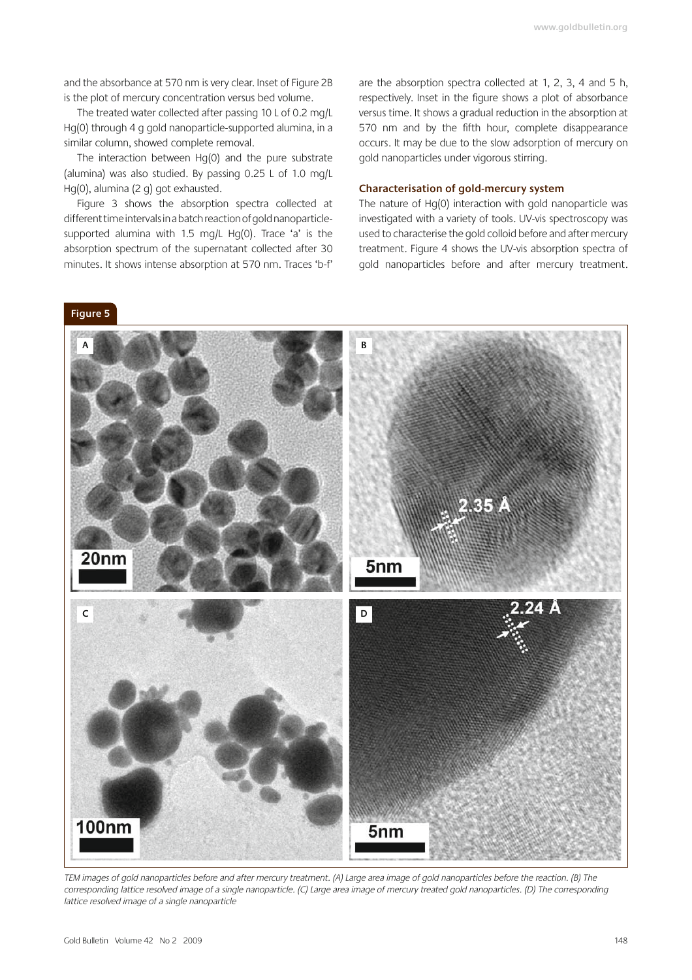and the absorbance at 570 nm is very clear. Inset of Figure 2B is the plot of mercury concentration versus bed volume.

The treated water collected after passing 10 L of 0.2 mg/L Hq(0) through 4 q gold nanoparticle-supported alumina, in a similar column, showed complete removal.

The interaction between Hg(0) and the pure substrate (alumina) was also studied. By passing 0.25 L of 1.0 mg/L Hq(0), alumina (2 q) got exhausted.

Figure 3 shows the absorption spectra collected at different time intervals in a batch reaction of gold nanoparticlesupported alumina with 1.5 mg/L Hg(0). Trace 'a' is the absorption spectrum of the supernatant collected after 30 minutes. It shows intense absorption at 570 nm. Traces 'b-f'

are the absorption spectra collected at 1, 2, 3, 4 and 5 h, respectively. Inset in the figure shows a plot of absorbance versus time. It shows a gradual reduction in the absorption at 570 nm and by the fifth hour, complete disappearance occurs. It may be due to the slow adsorption of mercury on gold nanoparticles under vigorous stirring.

### Characterisation of gold-mercury system

The nature of Hg(0) interaction with gold nanoparticle was investigated with a variety of tools. UV-vis spectroscopy was used to characterise the gold colloid before and after mercury treatment. Figure 4 shows the UV-vis absorption spectra of gold nanoparticles before and after mercury treatment.



TEM images of gold nanoparticles before and after mercury treatment. (A) Large area image of gold nanoparticles before the reaction. (B) The corresponding lattice resolved image of a single nanoparticle. (C) Large area image of mercury treated gold nanoparticles. (D) The corresponding lattice resolved image of a single nanoparticle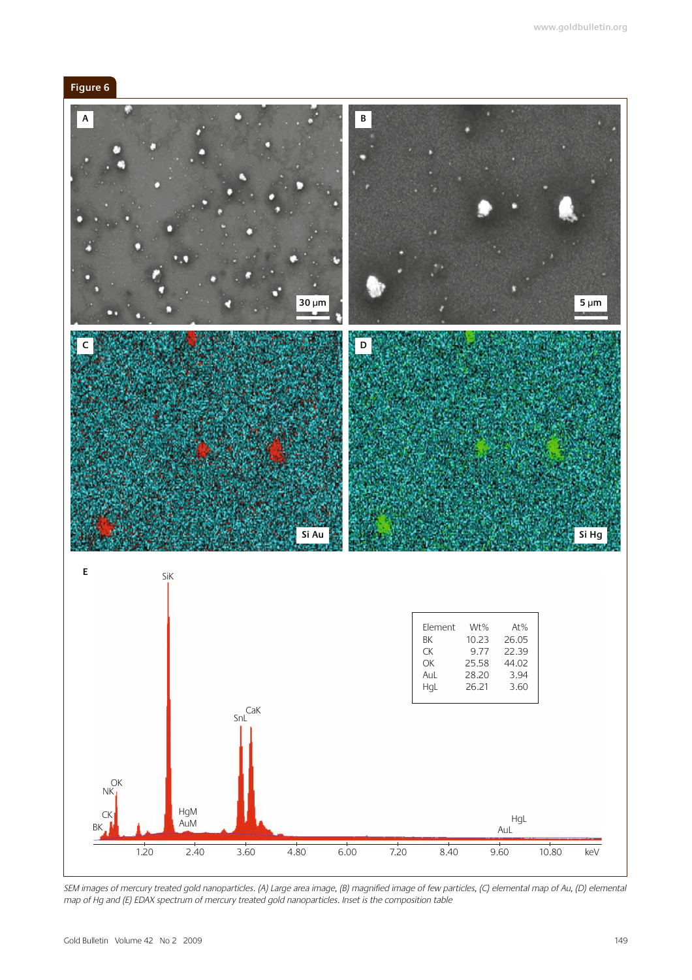



SEM images of mercury treated gold nanoparticles. (A) Large area image, (B) magnified image of few particles, (C) elemental map of Au, (D) elemental<br>map of Hg and (E) EDAX spectrum of mercury treated gold nanoparticles. In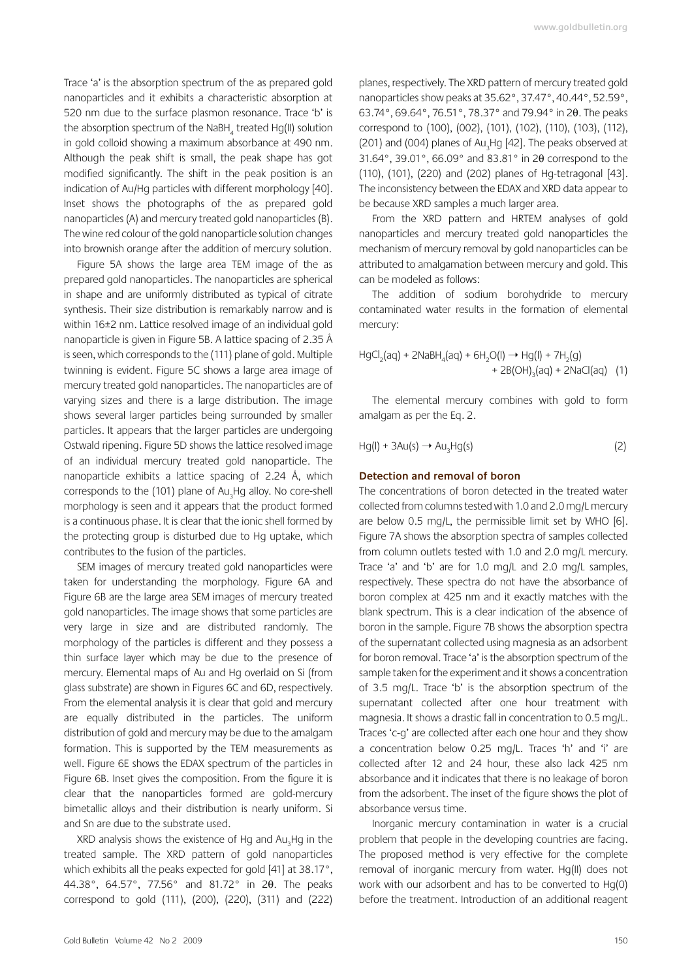Trace 'a' is the absorption spectrum of the as prepared gold nanoparticles and it exhibits a characteristic absorption at 520 nm due to the surface plasmon resonance. Trace 'b' is the absorption spectrum of the NaBH, treated Hq(II) solution in gold colloid showing a maximum absorbance at 490 nm. Although the peak shift is small, the peak shape has got modified significantly. The shift in the peak position is an indication of Au/Hg particles with different morphology [40]. Inset shows the photographs of the as prepared gold nanoparticles (A) and mercury treated gold nanoparticles (B). The wine red colour of the gold nanoparticle solution changes into brownish orange after the addition of mercury solution.

Figure 5A shows the large area TEM image of the as prepared gold nanoparticles. The nanoparticles are spherical in shape and are uniformly distributed as typical of citrate synthesis. Their size distribution is remarkably narrow and is within 16±2 nm. Lattice resolved image of an individual gold nanoparticle is given in Figure 5B. A lattice spacing of 2.35 Å is seen, which corresponds to the (111) plane of gold. Multiple twinning is evident. Figure 5C shows a large area image of mercury treated gold nanoparticles. The nanoparticles are of varying sizes and there is a large distribution. The image shows several larger particles being surrounded by smaller particles. It appears that the larger particles are undergoing Ostwald ripening. Figure 5D shows the lattice resolved image of an individual mercury treated gold nanoparticle. The nanoparticle exhibits a lattice spacing of 2.24 Å, which corresponds to the (101) plane of Au, Hq alloy. No core-shell morphology is seen and it appears that the product formed is a continuous phase. It is clear that the ionic shell formed by the protecting group is disturbed due to Hg uptake, which contributes to the fusion of the particles.

SEM images of mercury treated gold nanoparticles were taken for understanding the morphology. Figure 6A and Figure 6B are the large area SEM images of mercury treated gold nanoparticles. The image shows that some particles are very large in size and are distributed randomly. The morphology of the particles is different and they possess a thin surface layer which may be due to the presence of mercury. Elemental maps of Au and Hq overlaid on Si (from glass substrate) are shown in Figures 6C and 6D, respectively. From the elemental analysis it is clear that gold and mercury are equally distributed in the particles. The uniform distribution of gold and mercury may be due to the amalgam formation. This is supported by the TEM measurements as well. Figure 6E shows the EDAX spectrum of the particles in Figure 6B. Inset gives the composition. From the figure it is clear that the nanoparticles formed are gold-mercury bimetallic alloys and their distribution is nearly uniform. Si and Sn are due to the substrate used.

XRD analysis shows the existence of Hq and Au, Hq in the treated sample. The XRD pattern of gold nanoparticles which exhibits all the peaks expected for gold [41] at 38.17°, 44.38°, 64.57°, 77.56° and 81.72° in 20. The peaks correspond to gold (111), (200), (220), (311) and (222) planes, respectively. The XRD pattern of mercury treated gold nanoparticles show peaks at 35.62°, 37.47°, 40.44°, 52.59°, 63.74°, 69.64°, 76.51°, 78.37° and 79.94° in 20. The peaks correspond to (100), (002), (101), (102), (110), (103), (112), (201) and (004) planes of Au<sub>2</sub>Hg [42]. The peaks observed at 31.64°, 39.01°, 66.09° and 83.81° in 20 correspond to the (110), (101), (220) and (202) planes of Hq-tetragonal [43]. The inconsistency between the EDAX and XRD data appear to be because XRD samples a much larger area.

From the XRD pattern and HRTEM analyses of gold nanoparticles and mercury treated gold nanoparticles the mechanism of mercury removal by gold nanoparticles can be attributed to amalgamation between mercury and gold. This can be modeled as follows:

The addition of sodium borohydride to mercury contaminated water results in the formation of elemental mercury:

The elemental mercury combines with gold to form amalgam as per the Eg. 2.

 $Hq(I) + 3Au(s) \rightarrow Au, Hq(s)$  $(2)$ 

#### Detection and removal of boron

The concentrations of boron detected in the treated water collected from columns tested with 1.0 and 2.0 mg/L mercury are below 0.5 mg/L, the permissible limit set by WHO [6]. Figure 7A shows the absorption spectra of samples collected from column outlets tested with 1.0 and 2.0 mg/L mercury. Trace 'a' and 'b' are for 1.0 mg/L and 2.0 mg/L samples, respectively. These spectra do not have the absorbance of boron complex at 425 nm and it exactly matches with the blank spectrum. This is a clear indication of the absence of boron in the sample. Figure 7B shows the absorption spectra of the supernatant collected using magnesia as an adsorbent for boron removal. Trace 'a' is the absorption spectrum of the sample taken for the experiment and it shows a concentration of 3.5 mg/L. Trace 'b' is the absorption spectrum of the supernatant collected after one hour treatment with magnesia. It shows a drastic fall in concentration to 0.5 mg/L. Traces 'c-q' are collected after each one hour and they show a concentration below 0.25 mg/L. Traces 'h' and 'i' are collected after 12 and 24 hour, these also lack 425 nm absorbance and it indicates that there is no leakage of boron from the adsorbent. The inset of the figure shows the plot of absorbance versus time.

Inorganic mercury contamination in water is a crucial problem that people in the developing countries are facing. The proposed method is very effective for the complete removal of inorganic mercury from water. Hq(II) does not work with our adsorbent and has to be converted to Hq(0) before the treatment. Introduction of an additional reagent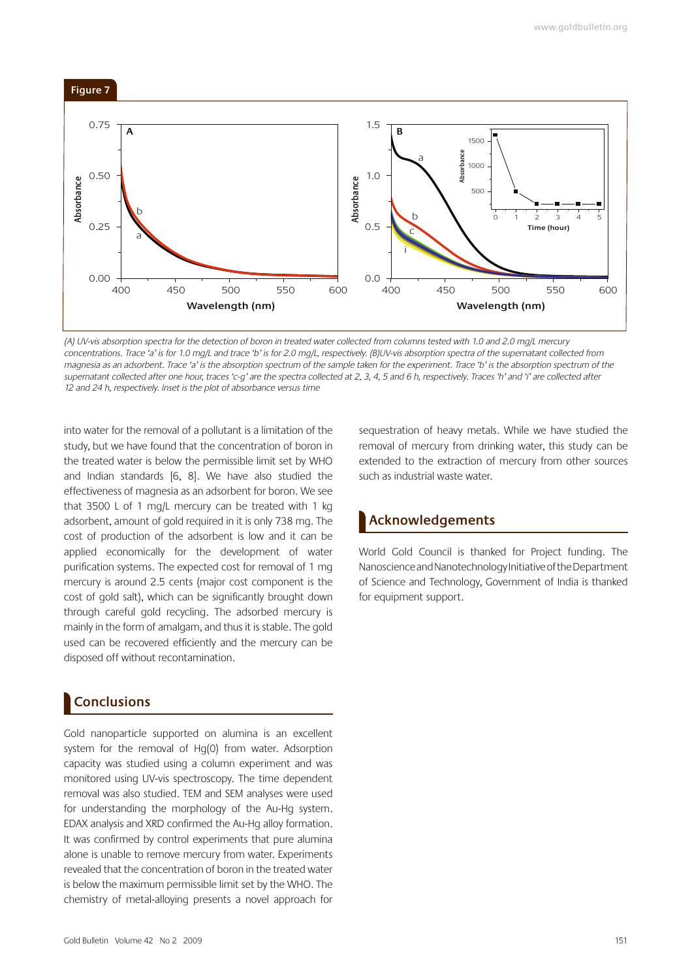

(A) UV-vis absorption spectra for the detection of boron in treated water collected from columns tested with 1.0 and 2.0 mq/L mercury concentrations. Trace 'a' is for 1.0 ma/L and trace 'b' is for 2.0 ma/L, respectively. (BIUV-vis absorption spectra of the supernatant collected from magnesia as an adsorbent. Trace 'a' is the absorption spectrum of the sample taken for the experiment. Trace 'b' is the absorption spectrum of the supernatant collected after one hour, traces 'c-q' are the spectra collected at 2, 3, 4, 5 and 6 h, respectively. Traces 'h' and 'i' are collected after 12 and 24 h, respectively. Inset is the plot of absorbance versus time

into water for the removal of a pollutant is a limitation of the study, but we have found that the concentration of boron in the treated water is below the permissible limit set by WHO and Indian standards  $[6, 8]$ . We have also studied the effectiveness of magnesia as an adsorbent for boron. We see that  $3500$  L of 1 mg/L mercury can be treated with 1 kg adsorbent, amount of gold required in it is only 738 mg. The cost of production of the adsorbent is low and it can be applied economically for the development of water purification systems. The expected cost for removal of 1 mq mercury is around 2.5 cents (major cost component is the cost of gold salt), which can be significantly brought down through careful gold recycling. The adsorbed mercury is mainly in the form of amalgam, and thus it is stable. The gold used can be recovered efficiently and the mercury can be disposed off without recontamination.

# **Conclusions**

Gold nanoparticle supported on alumina is an excellent system for the removal of Hq(0) from water. Adsorption capacity was studied using a column experiment and was monitored using UV-vis spectroscopy. The time dependent removal was also studied. TEM and SEM analyses were used for understanding the morphology of the Au-Hq system. EDAX analysis and XRD confirmed the Au-Hq alloy formation. It was confirmed by control experiments that pure alumina alone is unable to remove mercury from water. Experiments revealed that the concentration of boron in the treated water is below the maximum permissible limit set by the WHO. The chemistry of metal-alloying presents a novel approach for sequestration of heavy metals. While we have studied the removal of mercury from drinking water, this study can be extended to the extraction of mercury from other sources such as industrial waste water.

# **Acknowledgements**

World Gold Council is thanked for Project funding. The Nanoscience and Nanotechnology Initiative of the Department of Science and Technology, Government of India is thanked for equipment support.